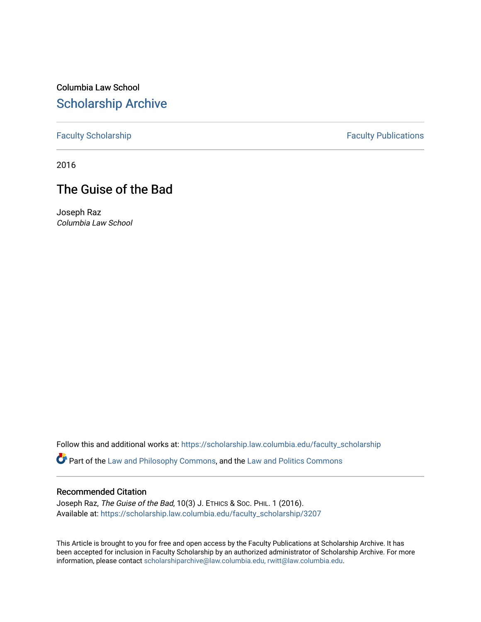Columbia Law School [Scholarship Archive](https://scholarship.law.columbia.edu/) 

[Faculty Scholarship](https://scholarship.law.columbia.edu/faculty_scholarship) **Faculty Publications** 

2016

# The Guise of the Bad

Joseph Raz Columbia Law School

Follow this and additional works at: [https://scholarship.law.columbia.edu/faculty\\_scholarship](https://scholarship.law.columbia.edu/faculty_scholarship?utm_source=scholarship.law.columbia.edu%2Ffaculty_scholarship%2F3207&utm_medium=PDF&utm_campaign=PDFCoverPages)

Part of the [Law and Philosophy Commons,](http://network.bepress.com/hgg/discipline/1299?utm_source=scholarship.law.columbia.edu%2Ffaculty_scholarship%2F3207&utm_medium=PDF&utm_campaign=PDFCoverPages) and the [Law and Politics Commons](http://network.bepress.com/hgg/discipline/867?utm_source=scholarship.law.columbia.edu%2Ffaculty_scholarship%2F3207&utm_medium=PDF&utm_campaign=PDFCoverPages)

#### Recommended Citation

Joseph Raz, The Guise of the Bad, 10(3) J. ETHICS & Soc. PHIL. 1 (2016). Available at: [https://scholarship.law.columbia.edu/faculty\\_scholarship/3207](https://scholarship.law.columbia.edu/faculty_scholarship/3207?utm_source=scholarship.law.columbia.edu%2Ffaculty_scholarship%2F3207&utm_medium=PDF&utm_campaign=PDFCoverPages)

This Article is brought to you for free and open access by the Faculty Publications at Scholarship Archive. It has been accepted for inclusion in Faculty Scholarship by an authorized administrator of Scholarship Archive. For more information, please contact [scholarshiparchive@law.columbia.edu, rwitt@law.columbia.edu](mailto:scholarshiparchive@law.columbia.edu,%20rwitt@law.columbia.edu).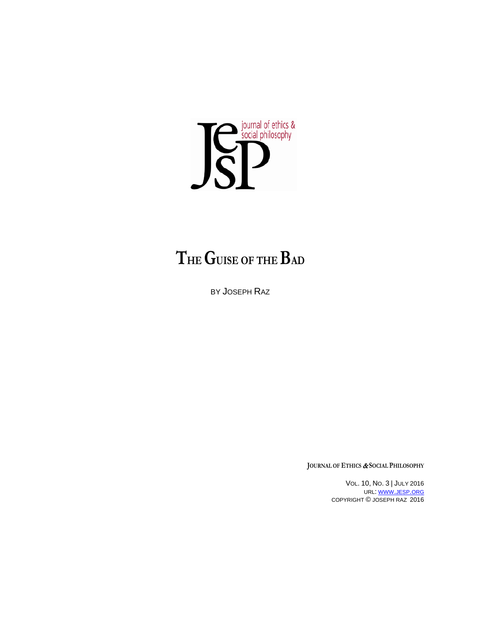

# **THEGUISE OF THE BAD**

BY JOSEPH RAZ

**JOURNAL OF ETHICS** & **SOCIAL PHILOSOPHY**

VOL. 10, NO. 3 | JULY 2016 URL: [WWW.JESP.ORG](http://www.jesp.org/) COPYRIGHT © JOSEPH RAZ 2016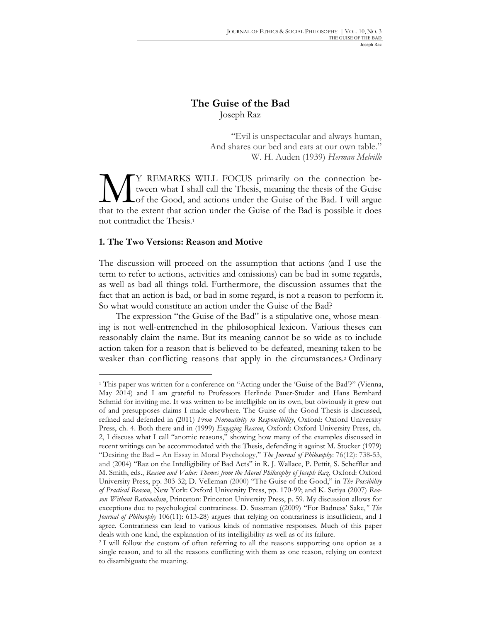# **The Guise of the Bad** Joseph Raz

"Evil is unspectacular and always human, And shares our bed and eats at our own table." W. H. Auden (1939) *Herman Melville*

Y REMARKS WILL FOCUS primarily on the connection between what I shall call the Thesis, meaning the thesis of the Guise Lof the Good, and actions under the Guise of the Bad. I will argue TY REMARKS WILL FOCUS primarily on the connection be-<br>tween what I shall call the Thesis, meaning the thesis of the Guise<br>of the Good, and actions under the Guise of the Bad. I will argue<br>that to the extent that action und not contradict the Thesis.1

#### **1. The Two Versions: Reason and Motive**

The discussion will proceed on the assumption that actions (and I use the term to refer to actions, activities and omissions) can be bad in some regards, as well as bad all things told. Furthermore, the discussion assumes that the fact that an action is bad, or bad in some regard, is not a reason to perform it. So what would constitute an action under the Guise of the Bad?

The expression "the Guise of the Bad" is a stipulative one, whose meaning is not well-entrenched in the philosophical lexicon. Various theses can reasonably claim the name. But its meaning cannot be so wide as to include action taken for a reason that is believed to be defeated, meaning taken to be weaker than conflicting reasons that apply in the circumstances.2 Ordinary

<sup>&</sup>lt;sup>1</sup> This paper was written for a conference on "Acting under the 'Guise of the Bad'?" (Vienna, May 2014) and I am grateful to Professors Herlinde Pauer-Studer and Hans Bernhard Schmid for inviting me. It was written to be intelligible on its own, but obviously it grew out of and presupposes claims I made elsewhere. The Guise of the Good Thesis is discussed, refined and defended in (2011) *From Normativity to Responsibility*, Oxford: Oxford University Press, ch. 4. Both there and in (1999) *Engaging Reason*, Oxford: Oxford University Press, ch. 2, I discuss what I call "anomic reasons," showing how many of the examples discussed in recent writings can be accommodated with the Thesis, defending it against M. Stocker (1979) "Desiring the Bad – An Essay in Moral Psychology," *The Journal of Philosophy*: 76(12): 738-53, and (2004) "Raz on the Intelligibility of Bad Acts" in R. J. Wallace, P. Pettit, S. Scheffler and M. Smith, eds., *Reason and Value: Themes from the Moral Philosophy of Joseph Raz*, Oxford: Oxford University Press, pp. 303-32; D. Velleman (2000) "The Guise of the Good," in *The Possibility of Practical Reason*, New York: Oxford University Press, pp. 170-99; and K. Setiya (2007) *Reason Without Rationalism*, Princeton: Princeton University Press, p. 59. My discussion allows for exceptions due to psychological contrariness. D. Sussman ((2009) "For Badness' Sake,*" The Journal of Philosophy* 106(11): 613-28) argues that relying on contrariness is insufficient, and I agree. Contrariness can lead to various kinds of normative responses. Much of this paper deals with one kind, the explanation of its intelligibility as well as of its failure.

<sup>2</sup> I will follow the custom of often referring to all the reasons supporting one option as a single reason, and to all the reasons conflicting with them as one reason, relying on context to disambiguate the meaning.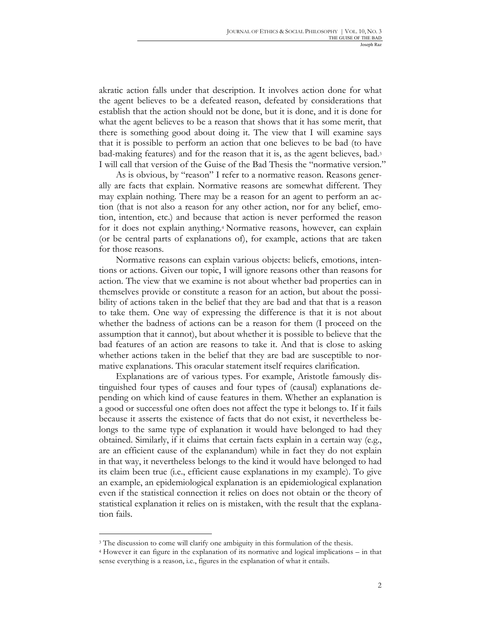akratic action falls under that description. It involves action done for what the agent believes to be a defeated reason, defeated by considerations that establish that the action should not be done, but it is done, and it is done for what the agent believes to be a reason that shows that it has some merit, that there is something good about doing it. The view that I will examine says that it is possible to perform an action that one believes to be bad (to have bad-making features) and for the reason that it is, as the agent believes, bad.3 I will call that version of the Guise of the Bad Thesis the "normative version."

As is obvious, by "reason" I refer to a normative reason. Reasons generally are facts that explain. Normative reasons are somewhat different. They may explain nothing. There may be a reason for an agent to perform an action (that is not also a reason for any other action, nor for any belief, emotion, intention, etc.) and because that action is never performed the reason for it does not explain anything.4 Normative reasons, however, can explain (or be central parts of explanations of), for example, actions that are taken for those reasons.

Normative reasons can explain various objects: beliefs, emotions, intentions or actions. Given our topic, I will ignore reasons other than reasons for action. The view that we examine is not about whether bad properties can in themselves provide or constitute a reason for an action, but about the possibility of actions taken in the belief that they are bad and that that is a reason to take them. One way of expressing the difference is that it is not about whether the badness of actions can be a reason for them (I proceed on the assumption that it cannot), but about whether it is possible to believe that the bad features of an action are reasons to take it. And that is close to asking whether actions taken in the belief that they are bad are susceptible to normative explanations. This oracular statement itself requires clarification.

Explanations are of various types. For example, Aristotle famously distinguished four types of causes and four types of (causal) explanations depending on which kind of cause features in them. Whether an explanation is a good or successful one often does not affect the type it belongs to. If it fails because it asserts the existence of facts that do not exist, it nevertheless belongs to the same type of explanation it would have belonged to had they obtained. Similarly, if it claims that certain facts explain in a certain way (e.g., are an efficient cause of the explanandum) while in fact they do not explain in that way, it nevertheless belongs to the kind it would have belonged to had its claim been true (i.e., efficient cause explanations in my example). To give an example, an epidemiological explanation is an epidemiological explanation even if the statistical connection it relies on does not obtain or the theory of statistical explanation it relies on is mistaken, with the result that the explanation fails.

l

<sup>&</sup>lt;sup>3</sup> The discussion to come will clarify one ambiguity in this formulation of the thesis.

<sup>4</sup> However it can figure in the explanation of its normative and logical implications – in that sense everything is a reason, i.e., figures in the explanation of what it entails.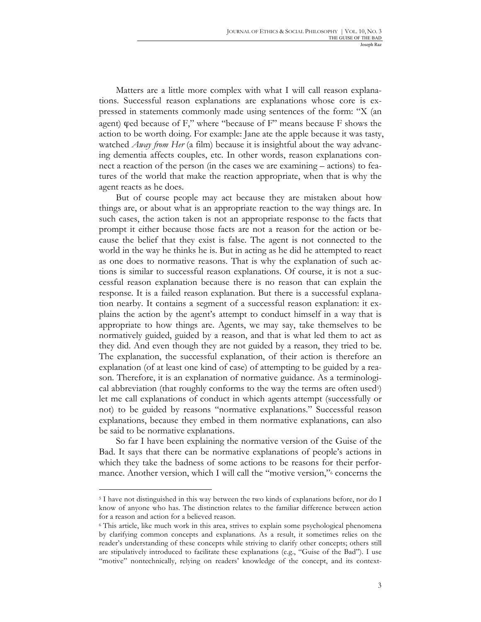Matters are a little more complex with what I will call reason explanations. Successful reason explanations are explanations whose core is expressed in statements commonly made using sentences of the form: "X (an agent)  $\phi$ ed because of F," where "because of F" means because F shows the action to be worth doing. For example: Jane ate the apple because it was tasty, watched *Away from Her* (a film) because it is insightful about the way advancing dementia affects couples, etc. In other words, reason explanations connect a reaction of the person (in the cases we are examining – actions) to features of the world that make the reaction appropriate, when that is why the agent reacts as he does.

But of course people may act because they are mistaken about how things are, or about what is an appropriate reaction to the way things are. In such cases, the action taken is not an appropriate response to the facts that prompt it either because those facts are not a reason for the action or because the belief that they exist is false. The agent is not connected to the world in the way he thinks he is. But in acting as he did he attempted to react as one does to normative reasons. That is why the explanation of such actions is similar to successful reason explanations. Of course, it is not a successful reason explanation because there is no reason that can explain the response. It is a failed reason explanation. But there is a successful explanation nearby. It contains a segment of a successful reason explanation: it explains the action by the agent's attempt to conduct himself in a way that is appropriate to how things are. Agents, we may say, take themselves to be normatively guided, guided by a reason, and that is what led them to act as they did. And even though they are not guided by a reason, they tried to be. The explanation, the successful explanation, of their action is therefore an explanation (of at least one kind of case) of attempting to be guided by a reason. Therefore, it is an explanation of normative guidance. As a terminological abbreviation (that roughly conforms to the way the terms are often used<sup>5</sup>) let me call explanations of conduct in which agents attempt (successfully or not) to be guided by reasons "normative explanations." Successful reason explanations, because they embed in them normative explanations, can also be said to be normative explanations.

So far I have been explaining the normative version of the Guise of the Bad. It says that there can be normative explanations of people's actions in which they take the badness of some actions to be reasons for their performance. Another version, which I will call the "motive version," concerns the

<sup>5</sup> I have not distinguished in this way between the two kinds of explanations before, nor do I know of anyone who has. The distinction relates to the familiar difference between action for a reason and action for a believed reason.

<sup>6</sup> This article, like much work in this area, strives to explain some psychological phenomena by clarifying common concepts and explanations. As a result, it sometimes relies on the reader's understanding of these concepts while striving to clarify other concepts; others still are stipulatively introduced to facilitate these explanations (e.g., "Guise of the Bad"). I use "motive" nontechnically, relying on readers' knowledge of the concept, and its context-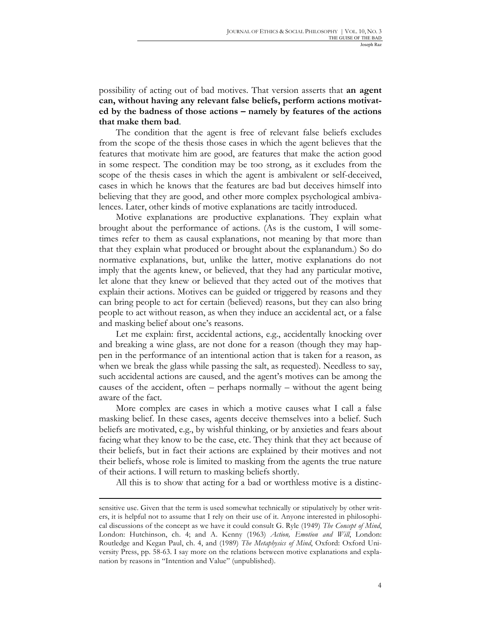possibility of acting out of bad motives. That version asserts that **an agent can, without having any relevant false beliefs, perform actions motivated by the badness of those actions – namely by features of the actions that make them bad**.

The condition that the agent is free of relevant false beliefs excludes from the scope of the thesis those cases in which the agent believes that the features that motivate him are good, are features that make the action good in some respect. The condition may be too strong, as it excludes from the scope of the thesis cases in which the agent is ambivalent or self-deceived, cases in which he knows that the features are bad but deceives himself into believing that they are good, and other more complex psychological ambivalences. Later, other kinds of motive explanations are tacitly introduced.

Motive explanations are productive explanations. They explain what brought about the performance of actions. (As is the custom, I will sometimes refer to them as causal explanations, not meaning by that more than that they explain what produced or brought about the explanandum.) So do normative explanations, but, unlike the latter, motive explanations do not imply that the agents knew, or believed, that they had any particular motive, let alone that they knew or believed that they acted out of the motives that explain their actions. Motives can be guided or triggered by reasons and they can bring people to act for certain (believed) reasons, but they can also bring people to act without reason, as when they induce an accidental act, or a false and masking belief about one's reasons.

Let me explain: first, accidental actions, e.g., accidentally knocking over and breaking a wine glass, are not done for a reason (though they may happen in the performance of an intentional action that is taken for a reason, as when we break the glass while passing the salt, as requested). Needless to say, such accidental actions are caused, and the agent's motives can be among the causes of the accident, often – perhaps normally – without the agent being aware of the fact.

More complex are cases in which a motive causes what I call a false masking belief. In these cases, agents deceive themselves into a belief. Such beliefs are motivated, e.g., by wishful thinking, or by anxieties and fears about facing what they know to be the case, etc. They think that they act because of their beliefs, but in fact their actions are explained by their motives and not their beliefs, whose role is limited to masking from the agents the true nature of their actions. I will return to masking beliefs shortly.

All this is to show that acting for a bad or worthless motive is a distinc-

sensitive use. Given that the term is used somewhat technically or stipulatively by other writers, it is helpful not to assume that I rely on their use of it. Anyone interested in philosophical discussions of the concept as we have it could consult G. Ryle (1949) *The Concept of Mind*, London: Hutchinson, ch. 4; and A. Kenny (1963) *Action, Emotion and Will*, London: Routledge and Kegan Paul, ch. 4, and (1989) *The Metaphysics of Mind*, Oxford: Oxford University Press, pp. 58-63. I say more on the relations between motive explanations and explanation by reasons in "Intention and Value" (unpublished).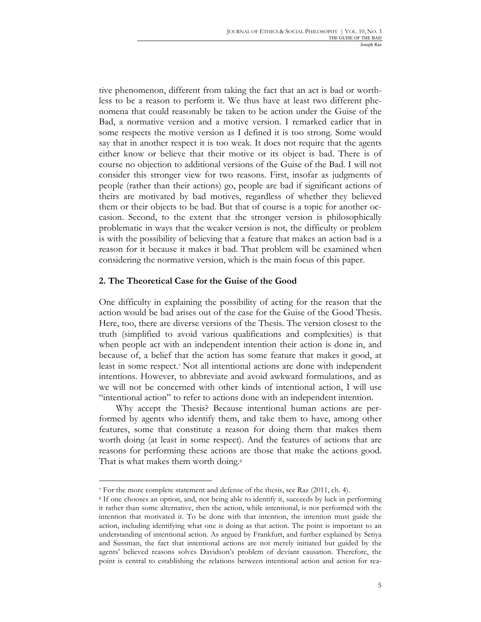tive phenomenon, different from taking the fact that an act is bad or worthless to be a reason to perform it. We thus have at least two different phenomena that could reasonably be taken to be action under the Guise of the Bad, a normative version and a motive version. I remarked earlier that in some respects the motive version as I defined it is too strong. Some would say that in another respect it is too weak. It does not require that the agents either know or believe that their motive or its object is bad. There is of course no objection to additional versions of the Guise of the Bad. I will not consider this stronger view for two reasons. First, insofar as judgments of people (rather than their actions) go, people are bad if significant actions of theirs are motivated by bad motives, regardless of whether they believed them or their objects to be bad. But that of course is a topic for another occasion. Second, to the extent that the stronger version is philosophically problematic in ways that the weaker version is not, the difficulty or problem is with the possibility of believing that a feature that makes an action bad is a reason for it because it makes it bad. That problem will be examined when considering the normative version, which is the main focus of this paper.

# **2. The Theoretical Case for the Guise of the Good**

One difficulty in explaining the possibility of acting for the reason that the action would be bad arises out of the case for the Guise of the Good Thesis. Here, too, there are diverse versions of the Thesis. The version closest to the truth (simplified to avoid various qualifications and complexities) is that when people act with an independent intention their action is done in, and because of, a belief that the action has some feature that makes it good, at least in some respect.7 Not all intentional actions are done with independent intentions. However, to abbreviate and avoid awkward formulations, and as we will not be concerned with other kinds of intentional action, I will use "intentional action" to refer to actions done with an independent intention.

Why accept the Thesis? Because intentional human actions are performed by agents who identify them, and take them to have, among other features, some that constitute a reason for doing them that makes them worth doing (at least in some respect). And the features of actions that are reasons for performing these actions are those that make the actions good. That is what makes them worth doing.<sup>8</sup>

<sup>7</sup> For the more complete statement and defense of the thesis, see Raz (2011, ch. 4).

<sup>8</sup> If one chooses an option, and, not being able to identify it, succeeds by luck in performing it rather than some alternative, then the action, while intentional, is not performed with the intention that motivated it. To be done with that intention, the intention must guide the action, including identifying what one is doing as that action. The point is important to an understanding of intentional action. As argued by Frankfurt, and further explained by Setiya and Sussman, the fact that intentional actions are not merely initiated but guided by the agents' believed reasons solves Davidson's problem of deviant causation. Therefore, the point is central to establishing the relations between intentional action and action for rea-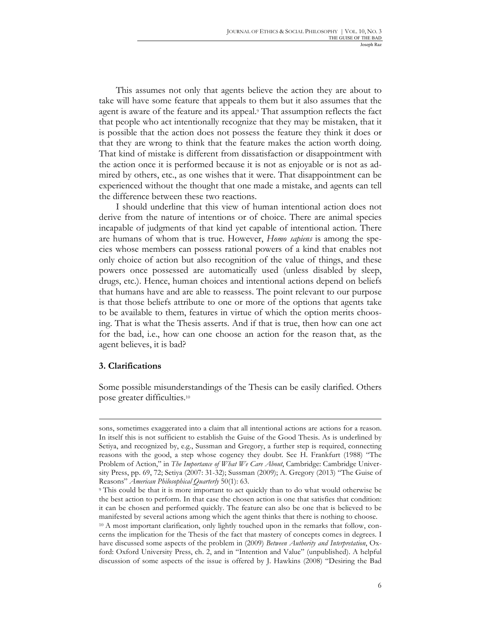This assumes not only that agents believe the action they are about to take will have some feature that appeals to them but it also assumes that the agent is aware of the feature and its appeal.9 That assumption reflects the fact that people who act intentionally recognize that they may be mistaken, that it is possible that the action does not possess the feature they think it does or that they are wrong to think that the feature makes the action worth doing. That kind of mistake is different from dissatisfaction or disappointment with the action once it is performed because it is not as enjoyable or is not as admired by others, etc., as one wishes that it were. That disappointment can be experienced without the thought that one made a mistake, and agents can tell the difference between these two reactions.

I should underline that this view of human intentional action does not derive from the nature of intentions or of choice. There are animal species incapable of judgments of that kind yet capable of intentional action. There are humans of whom that is true. However, *Homo sapiens* is among the species whose members can possess rational powers of a kind that enables not only choice of action but also recognition of the value of things, and these powers once possessed are automatically used (unless disabled by sleep, drugs, etc.). Hence, human choices and intentional actions depend on beliefs that humans have and are able to reassess. The point relevant to our purpose is that those beliefs attribute to one or more of the options that agents take to be available to them, features in virtue of which the option merits choosing. That is what the Thesis asserts. And if that is true, then how can one act for the bad, i.e., how can one choose an action for the reason that, as the agent believes, it is bad?

#### **3. Clarifications**

 $\overline{a}$ 

Some possible misunderstandings of the Thesis can be easily clarified. Others pose greater difficulties.10

sons, sometimes exaggerated into a claim that all intentional actions are actions for a reason. In itself this is not sufficient to establish the Guise of the Good Thesis. As is underlined by Setiya, and recognized by, e.g., Sussman and Gregory, a further step is required, connecting reasons with the good, a step whose cogency they doubt. See H. Frankfurt (1988) "The Problem of Action," in *The Importance of What We Care About*, Cambridge: Cambridge University Press, pp. 69, 72; Setiya (2007: 31-32); Sussman (2009); A. Gregory (2013) "The Guise of Reasons" *American Philosophical Quarterly* 50(1): 63.

<sup>9</sup> This could be that it is more important to act quickly than to do what would otherwise be the best action to perform. In that case the chosen action is one that satisfies that condition: it can be chosen and performed quickly. The feature can also be one that is believed to be manifested by several actions among which the agent thinks that there is nothing to choose. <sup>10</sup> A most important clarification, only lightly touched upon in the remarks that follow, concerns the implication for the Thesis of the fact that mastery of concepts comes in degrees. I have discussed some aspects of the problem in (2009) *Between Authority and Interpretation*, Oxford: Oxford University Press, ch. 2, and in "Intention and Value" (unpublished). A helpful discussion of some aspects of the issue is offered by J. Hawkins (2008) "Desiring the Bad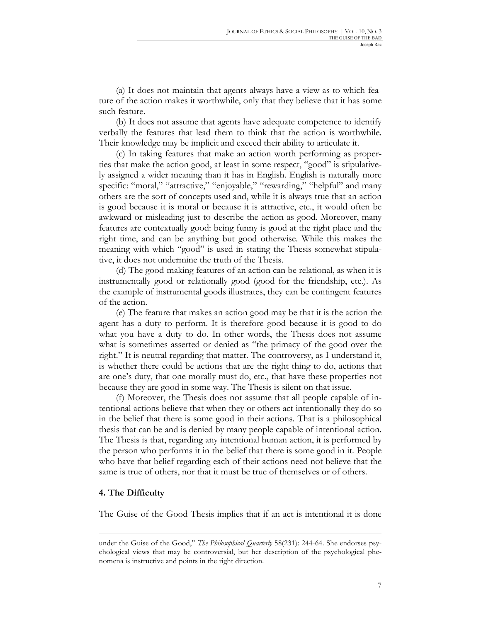(a) It does not maintain that agents always have a view as to which feature of the action makes it worthwhile, only that they believe that it has some such feature.

(b) It does not assume that agents have adequate competence to identify verbally the features that lead them to think that the action is worthwhile. Their knowledge may be implicit and exceed their ability to articulate it.

(c) In taking features that make an action worth performing as properties that make the action good, at least in some respect, "good" is stipulatively assigned a wider meaning than it has in English. English is naturally more specific: "moral," "attractive," "enjoyable," "rewarding," "helpful" and many others are the sort of concepts used and, while it is always true that an action is good because it is moral or because it is attractive, etc., it would often be awkward or misleading just to describe the action as good. Moreover, many features are contextually good: being funny is good at the right place and the right time, and can be anything but good otherwise. While this makes the meaning with which "good" is used in stating the Thesis somewhat stipulative, it does not undermine the truth of the Thesis.

(d) The good-making features of an action can be relational, as when it is instrumentally good or relationally good (good for the friendship, etc.). As the example of instrumental goods illustrates, they can be contingent features of the action.

(e) The feature that makes an action good may be that it is the action the agent has a duty to perform. It is therefore good because it is good to do what you have a duty to do. In other words, the Thesis does not assume what is sometimes asserted or denied as "the primacy of the good over the right." It is neutral regarding that matter. The controversy, as I understand it, is whether there could be actions that are the right thing to do, actions that are one's duty, that one morally must do, etc., that have these properties not because they are good in some way. The Thesis is silent on that issue.

(f) Moreover, the Thesis does not assume that all people capable of intentional actions believe that when they or others act intentionally they do so in the belief that there is some good in their actions. That is a philosophical thesis that can be and is denied by many people capable of intentional action. The Thesis is that, regarding any intentional human action, it is performed by the person who performs it in the belief that there is some good in it. People who have that belief regarding each of their actions need not believe that the same is true of others, nor that it must be true of themselves or of others.

#### **4. The Difficulty**

l

The Guise of the Good Thesis implies that if an act is intentional it is done

under the Guise of the Good," *The Philosophical Quarterly* 58(231): 244-64. She endorses psychological views that may be controversial, but her description of the psychological phenomena is instructive and points in the right direction.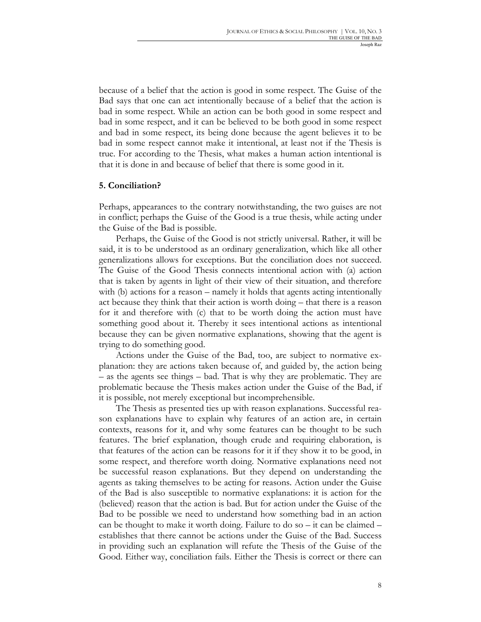because of a belief that the action is good in some respect. The Guise of the Bad says that one can act intentionally because of a belief that the action is bad in some respect. While an action can be both good in some respect and bad in some respect, and it can be believed to be both good in some respect and bad in some respect, its being done because the agent believes it to be bad in some respect cannot make it intentional, at least not if the Thesis is true. For according to the Thesis, what makes a human action intentional is that it is done in and because of belief that there is some good in it.

# **5. Conciliation?**

Perhaps, appearances to the contrary notwithstanding, the two guises are not in conflict; perhaps the Guise of the Good is a true thesis, while acting under the Guise of the Bad is possible.

Perhaps, the Guise of the Good is not strictly universal. Rather, it will be said, it is to be understood as an ordinary generalization, which like all other generalizations allows for exceptions. But the conciliation does not succeed. The Guise of the Good Thesis connects intentional action with (a) action that is taken by agents in light of their view of their situation, and therefore with (b) actions for a reason – namely it holds that agents acting intentionally act because they think that their action is worth doing – that there is a reason for it and therefore with (c) that to be worth doing the action must have something good about it. Thereby it sees intentional actions as intentional because they can be given normative explanations, showing that the agent is trying to do something good.

Actions under the Guise of the Bad, too, are subject to normative explanation: they are actions taken because of, and guided by, the action being – as the agents see things – bad. That is why they are problematic. They are problematic because the Thesis makes action under the Guise of the Bad, if it is possible, not merely exceptional but incomprehensible.

The Thesis as presented ties up with reason explanations. Successful reason explanations have to explain why features of an action are, in certain contexts, reasons for it, and why some features can be thought to be such features. The brief explanation, though crude and requiring elaboration, is that features of the action can be reasons for it if they show it to be good, in some respect, and therefore worth doing. Normative explanations need not be successful reason explanations. But they depend on understanding the agents as taking themselves to be acting for reasons. Action under the Guise of the Bad is also susceptible to normative explanations: it is action for the (believed) reason that the action is bad. But for action under the Guise of the Bad to be possible we need to understand how something bad in an action can be thought to make it worth doing. Failure to do so – it can be claimed – establishes that there cannot be actions under the Guise of the Bad. Success in providing such an explanation will refute the Thesis of the Guise of the Good. Either way, conciliation fails. Either the Thesis is correct or there can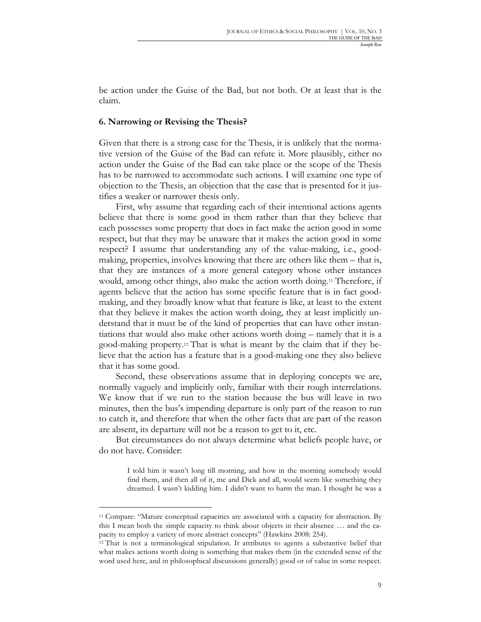be action under the Guise of the Bad, but not both. Or at least that is the claim.

#### **6. Narrowing or Revising the Thesis?**

Given that there is a strong case for the Thesis, it is unlikely that the normative version of the Guise of the Bad can refute it. More plausibly, either no action under the Guise of the Bad can take place or the scope of the Thesis has to be narrowed to accommodate such actions. I will examine one type of objection to the Thesis, an objection that the case that is presented for it justifies a weaker or narrower thesis only.

First, why assume that regarding each of their intentional actions agents believe that there is some good in them rather than that they believe that each possesses some property that does in fact make the action good in some respect, but that they may be unaware that it makes the action good in some respect? I assume that understanding any of the value-making, i.e., goodmaking, properties, involves knowing that there are others like them – that is, that they are instances of a more general category whose other instances would, among other things, also make the action worth doing.11 Therefore, if agents believe that the action has some specific feature that is in fact goodmaking, and they broadly know what that feature is like, at least to the extent that they believe it makes the action worth doing, they at least implicitly understand that it must be of the kind of properties that can have other instantiations that would also make other actions worth doing – namely that it is a good-making property.12 That is what is meant by the claim that if they believe that the action has a feature that is a good-making one they also believe that it has some good.

Second, these observations assume that in deploying concepts we are, normally vaguely and implicitly only, familiar with their rough interrelations. We know that if we run to the station because the bus will leave in two minutes, then the bus's impending departure is only part of the reason to run to catch it, and therefore that when the other facts that are part of the reason are absent, its departure will not be a reason to get to it, etc.

But circumstances do not always determine what beliefs people have, or do not have. Consider:

I told him it wasn't long till morning, and how in the morning somebody would find them, and then all of it, me and Dick and all, would seem like something they dreamed. I wasn't kidding him. I didn't want to harm the man. I thought he was a

l

<sup>11</sup> Compare: "Mature conceptual capacities are associated with a capacity for abstraction. By this I mean both the simple capacity to think about objects in their absence … and the capacity to employ a variety of more abstract concepts" (Hawkins 2008: 254).

<sup>12</sup> That is not a terminological stipulation. It attributes to agents a substantive belief that what makes actions worth doing is something that makes them (in the extended sense of the word used here, and in philosophical discussions generally) good or of value in some respect.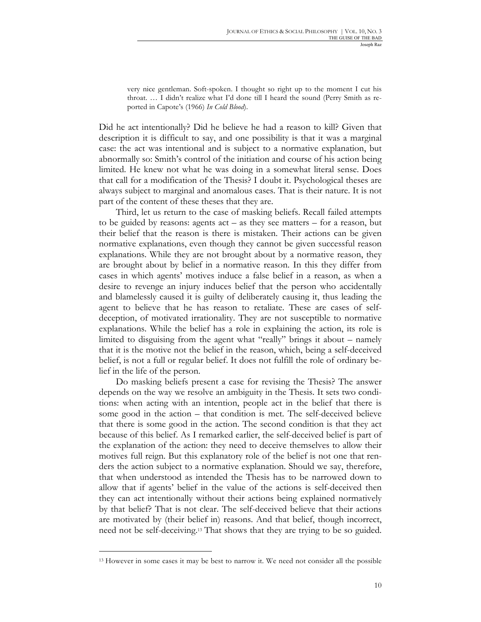very nice gentleman. Soft-spoken. I thought so right up to the moment I cut his throat. … I didn't realize what I'd done till I heard the sound (Perry Smith as reported in Capote's (1966) *In Cold Blood*).

Did he act intentionally? Did he believe he had a reason to kill? Given that description it is difficult to say, and one possibility is that it was a marginal case: the act was intentional and is subject to a normative explanation, but abnormally so: Smith's control of the initiation and course of his action being limited. He knew not what he was doing in a somewhat literal sense. Does that call for a modification of the Thesis? I doubt it. Psychological theses are always subject to marginal and anomalous cases. That is their nature. It is not part of the content of these theses that they are.

Third, let us return to the case of masking beliefs. Recall failed attempts to be guided by reasons: agents act – as they see matters – for a reason, but their belief that the reason is there is mistaken. Their actions can be given normative explanations, even though they cannot be given successful reason explanations. While they are not brought about by a normative reason, they are brought about by belief in a normative reason. In this they differ from cases in which agents' motives induce a false belief in a reason, as when a desire to revenge an injury induces belief that the person who accidentally and blamelessly caused it is guilty of deliberately causing it, thus leading the agent to believe that he has reason to retaliate. These are cases of selfdeception, of motivated irrationality. They are not susceptible to normative explanations. While the belief has a role in explaining the action, its role is limited to disguising from the agent what "really" brings it about – namely that it is the motive not the belief in the reason, which, being a self-deceived belief, is not a full or regular belief. It does not fulfill the role of ordinary belief in the life of the person.

Do masking beliefs present a case for revising the Thesis? The answer depends on the way we resolve an ambiguity in the Thesis. It sets two conditions: when acting with an intention, people act in the belief that there is some good in the action – that condition is met. The self-deceived believe that there is some good in the action. The second condition is that they act because of this belief. As I remarked earlier, the self-deceived belief is part of the explanation of the action: they need to deceive themselves to allow their motives full reign. But this explanatory role of the belief is not one that renders the action subject to a normative explanation. Should we say, therefore, that when understood as intended the Thesis has to be narrowed down to allow that if agents' belief in the value of the actions is self-deceived then they can act intentionally without their actions being explained normatively by that belief? That is not clear. The self-deceived believe that their actions are motivated by (their belief in) reasons. And that belief, though incorrect, need not be self-deceiving.13 That shows that they are trying to be so guided.

<sup>13</sup> However in some cases it may be best to narrow it. We need not consider all the possible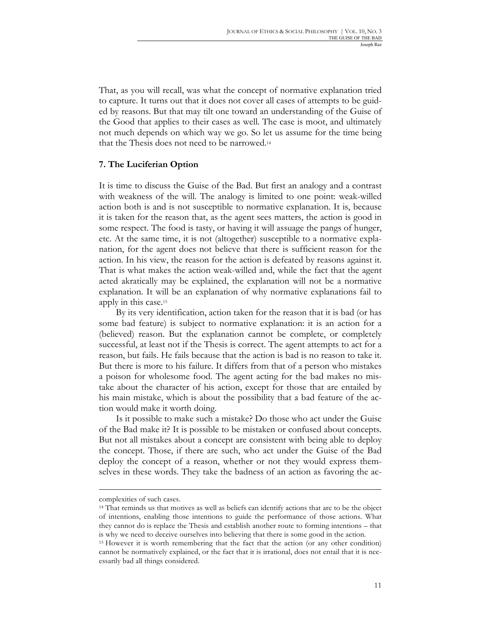That, as you will recall, was what the concept of normative explanation tried to capture. It turns out that it does not cover all cases of attempts to be guided by reasons. But that may tilt one toward an understanding of the Guise of the Good that applies to their cases as well. The case is moot, and ultimately not much depends on which way we go. So let us assume for the time being that the Thesis does not need to be narrowed.14

# **7. The Luciferian Option**

It is time to discuss the Guise of the Bad. But first an analogy and a contrast with weakness of the will. The analogy is limited to one point: weak-willed action both is and is not susceptible to normative explanation. It is, because it is taken for the reason that, as the agent sees matters, the action is good in some respect. The food is tasty, or having it will assuage the pangs of hunger, etc. At the same time, it is not (altogether) susceptible to a normative explanation, for the agent does not believe that there is sufficient reason for the action. In his view, the reason for the action is defeated by reasons against it. That is what makes the action weak-willed and, while the fact that the agent acted akratically may be explained, the explanation will not be a normative explanation. It will be an explanation of why normative explanations fail to apply in this case.15

By its very identification, action taken for the reason that it is bad (or has some bad feature) is subject to normative explanation: it is an action for a (believed) reason. But the explanation cannot be complete, or completely successful, at least not if the Thesis is correct. The agent attempts to act for a reason, but fails. He fails because that the action is bad is no reason to take it. But there is more to his failure. It differs from that of a person who mistakes a poison for wholesome food. The agent acting for the bad makes no mistake about the character of his action, except for those that are entailed by his main mistake, which is about the possibility that a bad feature of the action would make it worth doing.

Is it possible to make such a mistake? Do those who act under the Guise of the Bad make it? It is possible to be mistaken or confused about concepts. But not all mistakes about a concept are consistent with being able to deploy the concept. Those, if there are such, who act under the Guise of the Bad deploy the concept of a reason, whether or not they would express themselves in these words. They take the badness of an action as favoring the ac-

complexities of such cases.

<sup>14</sup> That reminds us that motives as well as beliefs can identify actions that are to be the object of intentions, enabling those intentions to guide the performance of those actions. What they cannot do is replace the Thesis and establish another route to forming intentions – that is why we need to deceive ourselves into believing that there is some good in the action.

<sup>15</sup> However it is worth remembering that the fact that the action (or any other condition) cannot be normatively explained, or the fact that it is irrational, does not entail that it is necessarily bad all things considered.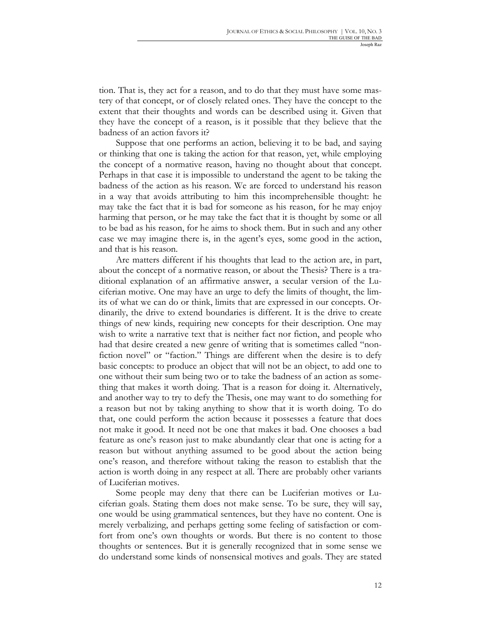tion. That is, they act for a reason, and to do that they must have some mastery of that concept, or of closely related ones. They have the concept to the extent that their thoughts and words can be described using it. Given that they have the concept of a reason, is it possible that they believe that the badness of an action favors it?

Suppose that one performs an action, believing it to be bad, and saying or thinking that one is taking the action for that reason, yet, while employing the concept of a normative reason, having no thought about that concept. Perhaps in that case it is impossible to understand the agent to be taking the badness of the action as his reason. We are forced to understand his reason in a way that avoids attributing to him this incomprehensible thought: he may take the fact that it is bad for someone as his reason, for he may enjoy harming that person, or he may take the fact that it is thought by some or all to be bad as his reason, for he aims to shock them. But in such and any other case we may imagine there is, in the agent's eyes, some good in the action, and that is his reason.

Are matters different if his thoughts that lead to the action are, in part, about the concept of a normative reason, or about the Thesis? There is a traditional explanation of an affirmative answer, a secular version of the Luciferian motive. One may have an urge to defy the limits of thought, the limits of what we can do or think, limits that are expressed in our concepts. Ordinarily, the drive to extend boundaries is different. It is the drive to create things of new kinds, requiring new concepts for their description. One may wish to write a narrative text that is neither fact nor fiction, and people who had that desire created a new genre of writing that is sometimes called "nonfiction novel" or "faction." Things are different when the desire is to defy basic concepts: to produce an object that will not be an object, to add one to one without their sum being two or to take the badness of an action as something that makes it worth doing. That is a reason for doing it. Alternatively, and another way to try to defy the Thesis, one may want to do something for a reason but not by taking anything to show that it is worth doing. To do that, one could perform the action because it possesses a feature that does not make it good. It need not be one that makes it bad. One chooses a bad feature as one's reason just to make abundantly clear that one is acting for a reason but without anything assumed to be good about the action being one's reason, and therefore without taking the reason to establish that the action is worth doing in any respect at all. There are probably other variants of Luciferian motives.

Some people may deny that there can be Luciferian motives or Luciferian goals. Stating them does not make sense. To be sure, they will say, one would be using grammatical sentences, but they have no content. One is merely verbalizing, and perhaps getting some feeling of satisfaction or comfort from one's own thoughts or words. But there is no content to those thoughts or sentences. But it is generally recognized that in some sense we do understand some kinds of nonsensical motives and goals. They are stated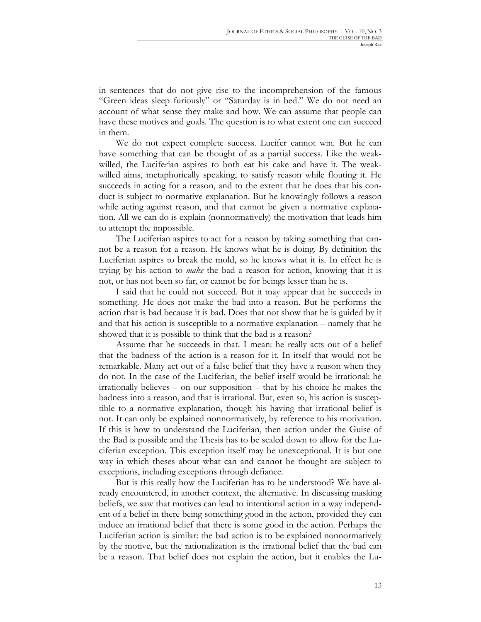in sentences that do not give rise to the incomprehension of the famous "Green ideas sleep furiously" or "Saturday is in bed." We do not need an account of what sense they make and how. We can assume that people can have these motives and goals. The question is to what extent one can succeed in them.

We do not expect complete success. Lucifer cannot win. But he can have something that can be thought of as a partial success. Like the weakwilled, the Luciferian aspires to both eat his cake and have it. The weakwilled aims, metaphorically speaking, to satisfy reason while flouting it. He succeeds in acting for a reason, and to the extent that he does that his conduct is subject to normative explanation. But he knowingly follows a reason while acting against reason, and that cannot be given a normative explanation. All we can do is explain (nonnormatively) the motivation that leads him to attempt the impossible.

The Luciferian aspires to act for a reason by taking something that cannot be a reason for a reason. He knows what he is doing. By definition the Luciferian aspires to break the mold, so he knows what it is. In effect he is trying by his action to *make* the bad a reason for action, knowing that it is not, or has not been so far, or cannot be for beings lesser than he is.

I said that he could not succeed. But it may appear that he succeeds in something. He does not make the bad into a reason. But he performs the action that is bad because it is bad. Does that not show that he is guided by it and that his action is susceptible to a normative explanation – namely that he showed that it is possible to think that the bad is a reason?

Assume that he succeeds in that. I mean: he really acts out of a belief that the badness of the action is a reason for it. In itself that would not be remarkable. Many act out of a false belief that they have a reason when they do not. In the case of the Luciferian, the belief itself would be irrational: he irrationally believes – on our supposition – that by his choice he makes the badness into a reason, and that is irrational. But, even so, his action is susceptible to a normative explanation, though his having that irrational belief is not. It can only be explained nonnormatively, by reference to his motivation. If this is how to understand the Luciferian, then action under the Guise of the Bad is possible and the Thesis has to be scaled down to allow for the Luciferian exception. This exception itself may be unexceptional. It is but one way in which theses about what can and cannot be thought are subject to exceptions, including exceptions through defiance.

But is this really how the Luciferian has to be understood? We have already encountered, in another context, the alternative. In discussing masking beliefs, we saw that motives can lead to intentional action in a way independent of a belief in there being something good in the action, provided they can induce an irrational belief that there is some good in the action. Perhaps the Luciferian action is similar: the bad action is to be explained nonnormatively by the motive, but the rationalization is the irrational belief that the bad can be a reason. That belief does not explain the action, but it enables the Lu